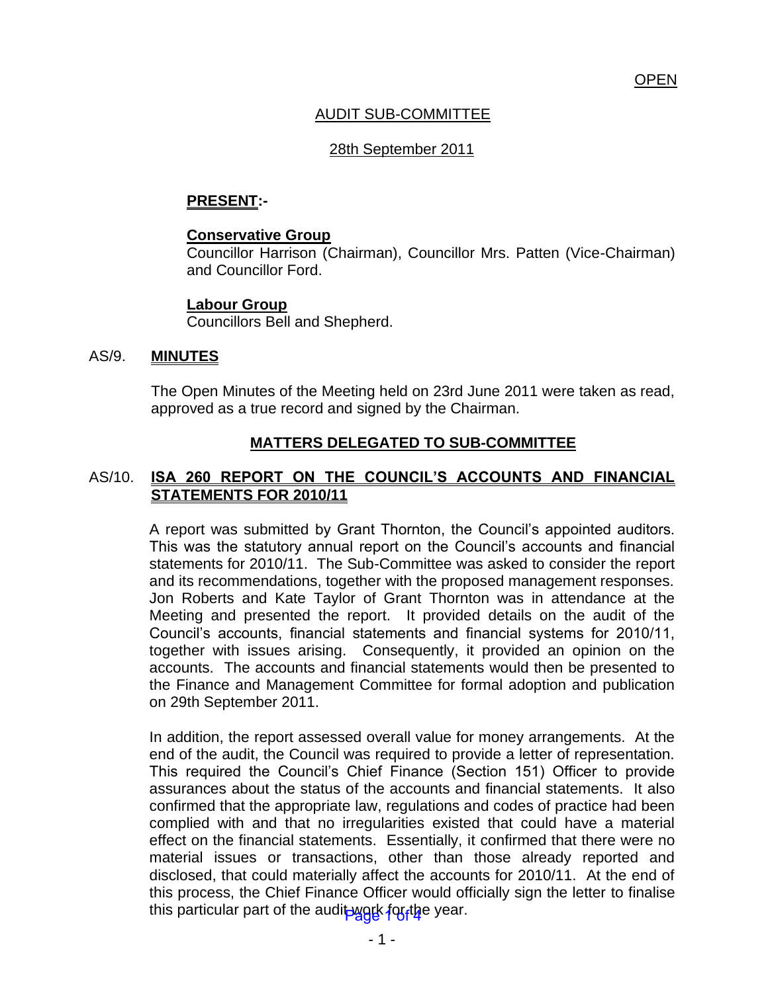# AUDIT SUB-COMMITTEE

## 28th September 2011

### **PRESENT:-**

#### **Conservative Group**

Councillor Harrison (Chairman), Councillor Mrs. Patten (Vice-Chairman) and Councillor Ford.

### **Labour Group**

Councillors Bell and Shepherd.

### AS/9. **MINUTES**

The Open Minutes of the Meeting held on 23rd June 2011 were taken as read, approved as a true record and signed by the Chairman.

## **MATTERS DELEGATED TO SUB-COMMITTEE**

## AS/10. **ISA 260 REPORT ON THE COUNCIL'S ACCOUNTS AND FINANCIAL STATEMENTS FOR 2010/11**

A report was submitted by Grant Thornton, the Council's appointed auditors. This was the statutory annual report on the Council's accounts and financial statements for 2010/11. The Sub-Committee was asked to consider the report and its recommendations, together with the proposed management responses. Jon Roberts and Kate Taylor of Grant Thornton was in attendance at the Meeting and presented the report. It provided details on the audit of the Council's accounts, financial statements and financial systems for 2010/11, together with issues arising. Consequently, it provided an opinion on the accounts. The accounts and financial statements would then be presented to the Finance and Management Committee for formal adoption and publication on 29th September 2011.

In addition, the report assessed overall value for money arrangements. At the end of the audit, the Council was required to provide a letter of representation. This required the Council's Chief Finance (Section 151) Officer to provide assurances about the status of the accounts and financial statements. It also confirmed that the appropriate law, regulations and codes of practice had been complied with and that no irregularities existed that could have a material effect on the financial statements. Essentially, it confirmed that there were no material issues or transactions, other than those already reported and disclosed, that could materially affect the accounts for 2010/11. At the end of this process, the Chief Finance Officer would officially sign the letter to finalise this particular part of the audit work for the year.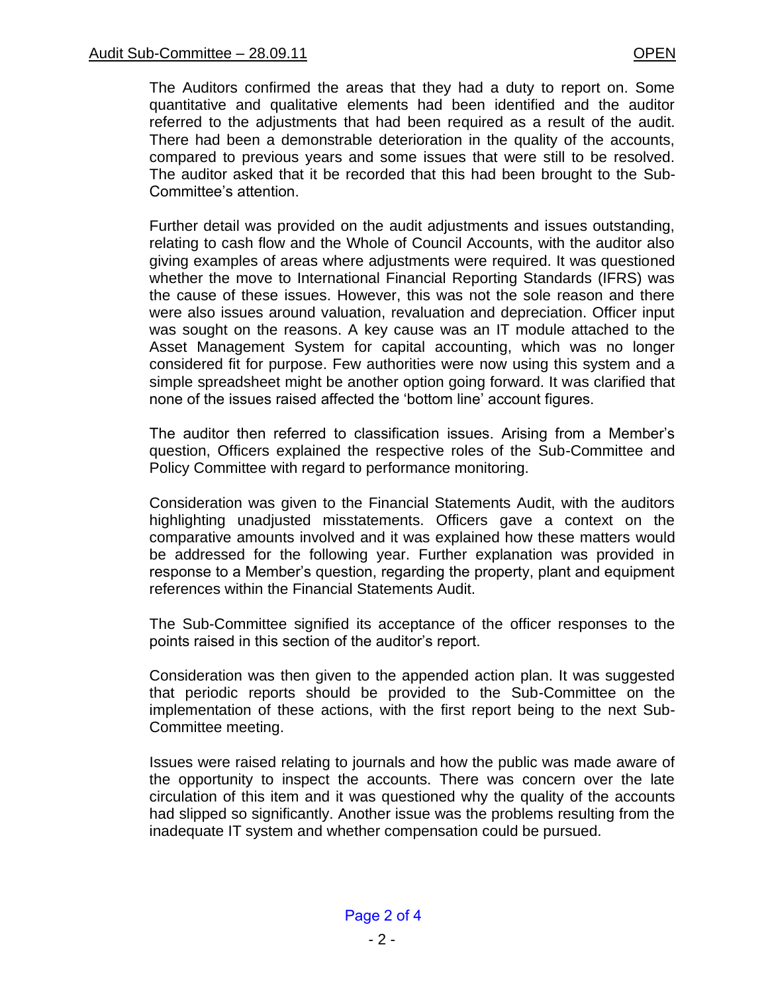The Auditors confirmed the areas that they had a duty to report on. Some quantitative and qualitative elements had been identified and the auditor referred to the adjustments that had been required as a result of the audit. There had been a demonstrable deterioration in the quality of the accounts, compared to previous years and some issues that were still to be resolved. The auditor asked that it be recorded that this had been brought to the Sub-Committee's attention.

Further detail was provided on the audit adjustments and issues outstanding, relating to cash flow and the Whole of Council Accounts, with the auditor also giving examples of areas where adjustments were required. It was questioned whether the move to International Financial Reporting Standards (IFRS) was the cause of these issues. However, this was not the sole reason and there were also issues around valuation, revaluation and depreciation. Officer input was sought on the reasons. A key cause was an IT module attached to the Asset Management System for capital accounting, which was no longer considered fit for purpose. Few authorities were now using this system and a simple spreadsheet might be another option going forward. It was clarified that none of the issues raised affected the 'bottom line' account figures.

The auditor then referred to classification issues. Arising from a Member's question, Officers explained the respective roles of the Sub-Committee and Policy Committee with regard to performance monitoring.

Consideration was given to the Financial Statements Audit, with the auditors highlighting unadjusted misstatements. Officers gave a context on the comparative amounts involved and it was explained how these matters would be addressed for the following year. Further explanation was provided in response to a Member's question, regarding the property, plant and equipment references within the Financial Statements Audit.

The Sub-Committee signified its acceptance of the officer responses to the points raised in this section of the auditor's report.

Consideration was then given to the appended action plan. It was suggested that periodic reports should be provided to the Sub-Committee on the implementation of these actions, with the first report being to the next Sub-Committee meeting.

Issues were raised relating to journals and how the public was made aware of the opportunity to inspect the accounts. There was concern over the late circulation of this item and it was questioned why the quality of the accounts had slipped so significantly. Another issue was the problems resulting from the inadequate IT system and whether compensation could be pursued.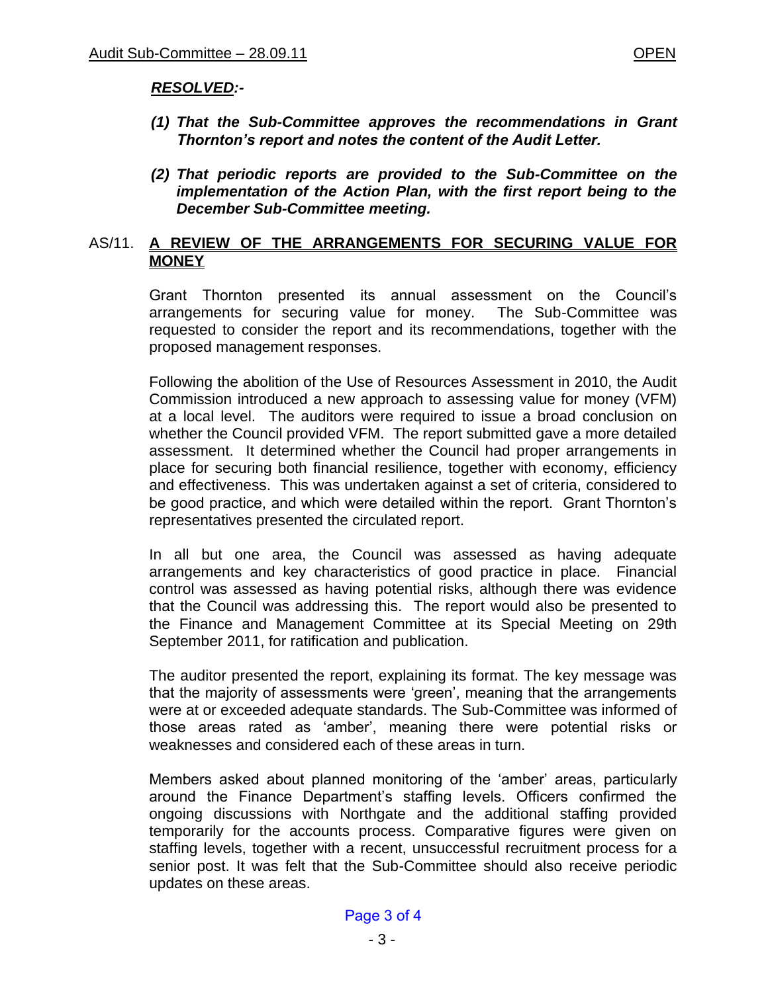## *RESOLVED:-*

- *(1) That the Sub-Committee approves the recommendations in Grant Thornton's report and notes the content of the Audit Letter.*
- *(2) That periodic reports are provided to the Sub-Committee on the implementation of the Action Plan, with the first report being to the December Sub-Committee meeting.*

### AS/11. **A REVIEW OF THE ARRANGEMENTS FOR SECURING VALUE FOR MONEY**

Grant Thornton presented its annual assessment on the Council's arrangements for securing value for money. The Sub-Committee was requested to consider the report and its recommendations, together with the proposed management responses.

Following the abolition of the Use of Resources Assessment in 2010, the Audit Commission introduced a new approach to assessing value for money (VFM) at a local level. The auditors were required to issue a broad conclusion on whether the Council provided VFM. The report submitted gave a more detailed assessment. It determined whether the Council had proper arrangements in place for securing both financial resilience, together with economy, efficiency and effectiveness. This was undertaken against a set of criteria, considered to be good practice, and which were detailed within the report. Grant Thornton's representatives presented the circulated report.

In all but one area, the Council was assessed as having adequate arrangements and key characteristics of good practice in place. Financial control was assessed as having potential risks, although there was evidence that the Council was addressing this. The report would also be presented to the Finance and Management Committee at its Special Meeting on 29th September 2011, for ratification and publication.

The auditor presented the report, explaining its format. The key message was that the majority of assessments were 'green', meaning that the arrangements were at or exceeded adequate standards. The Sub-Committee was informed of those areas rated as 'amber', meaning there were potential risks or weaknesses and considered each of these areas in turn.

Members asked about planned monitoring of the 'amber' areas, particularly around the Finance Department's staffing levels. Officers confirmed the ongoing discussions with Northgate and the additional staffing provided temporarily for the accounts process. Comparative figures were given on staffing levels, together with a recent, unsuccessful recruitment process for a senior post. It was felt that the Sub-Committee should also receive periodic updates on these areas.